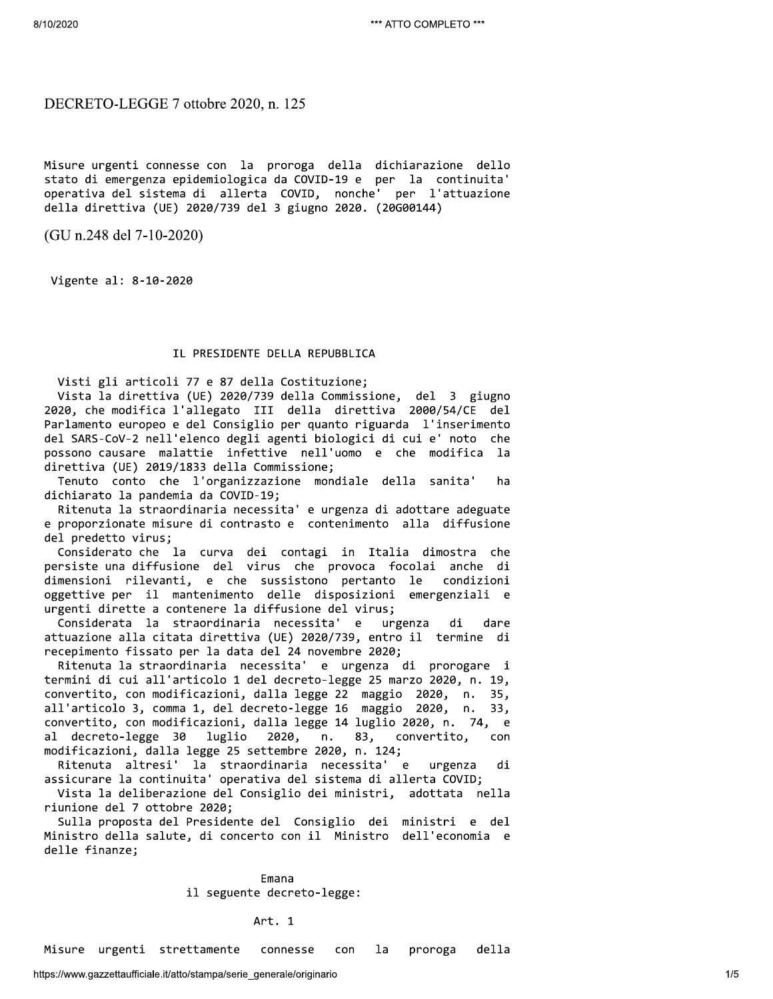DECRETO-LEGGE 7 ottobre 2020, n. 125

Misure urgenti connesse con la proroga della dichiarazione dello stato di emergenza epidemiologica da COVID-19 e per la continuita' operativa del sistema di allerta COVID, nonche' per l'attuazione della direttiva (UE) 2020/739 del 3 giugno 2020. (20G00144)

 $(GU n.248$  del 7-10-2020)

Vigente al: 8-10-2020

# IL PRESIDENTE DELLA REPUBBLICA

Visti gli articoli 77 e 87 della Costituzione;

Vista la direttiva (UE) 2020/739 della Commissione, del 3 giugno 2020, che modifica l'allegato III della direttiva 2000/54/CE del Parlamento europeo e del Consiglio per quanto riguarda l'inserimento del SARS-CoV-2 nell'elenco degli agenti biologici di cui e' noto che possono causare malattie infettive nell'uomo e che modifica la direttiva (UE) 2019/1833 della Commissione;

Tenuto conto che l'organizzazione mondiale della sanita' ha dichiarato la pandemia da COVID-19;

Ritenuta la straordinaria necessita' e urgenza di adottare adeguate e proporzionate misure di contrasto e contenimento alla diffusione del predetto virus;

Considerato che la curva dei contagi in Italia dimostra che persiste una diffusione del virus che provoca focolai anche di condizioni dimensioni rilevanti, e che sussistono pertanto le oggettive per il mantenimento delle disposizioni emergenziali e urgenti dirette a contenere la diffusione del virus;

Considerata la straordinaria necessita'  $\epsilon$ urgenza di dare attuazione alla citata direttiva (UE) 2020/739, entro il termine di recepimento fissato per la data del 24 novembre 2020;

Ritenuta la straordinaria necessita' e urgenza di prorogare i termini di cui all'articolo 1 del decreto-legge 25 marzo 2020, n. 19, convertito, con modificazioni, dalla legge 22 maggio 2020, n. 35, all'articolo 3, comma 1, del decreto-legge 16 maggio 2020, n. 33, convertito, con modificazioni, dalla legge 14 luglio 2020, n. 74, e decreto-legge 30  $n.$ 83,  $a1$ luglio 2020, convertito, con modificazioni, dalla legge 25 settembre 2020, n. 124;

Ritenuta altresi' la straordinaria necessita' e urgenza di assicurare la continuita' operativa del sistema di allerta COVID;

Vista la deliberazione del Consiglio dei ministri, adottata nella riunione del 7 ottobre 2020;

Sulla proposta del Presidente del Consiglio dei ministri e del Ministro della salute, di concerto con il Ministro dell'economia e delle finanze;

> Emana il seguente decreto-legge:

> > Art. 1

Misure urgenti strettamente connesse con la proroga della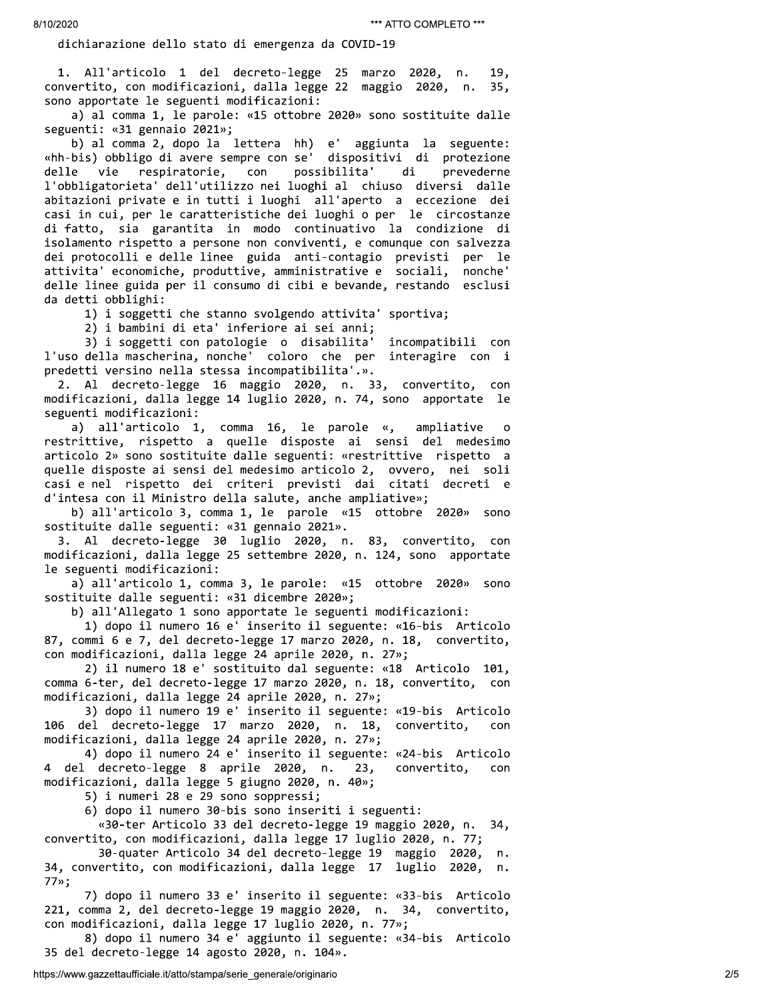erozoz<br>
i. All'articolo i stato di emergenza da Covintino "All'articolo"<br>
i. All'articolo i del escreto-legge 25 merro 2020, a. 19,<br>
convertito, con modificationi, della cape 22 megato 2020, a. 25)<br>
ison apportina la segue

%sostituite dalle seguenti: «31 dicembre 2020»;<br>
b) all'allegato 1 sono apportate le seguente: «16-bis Articolo<br>
87, commi 6 e 7, del decreto-legge 17 marzo 2020, n. 23, convertito,<br>
con modificazioni, dalla legge 14 april 87, commi 6 e 7, del decreto-legge 17 marzo 2020, n. 18, convertito,<br>con modificazioni, dalla legge 24 aprile 2020, n. 27%;<br>2) il numero 18 e' sostituito dal seguente: «18 Articolo 101,<br>comma 6-ter, del decreto-legge 17 ma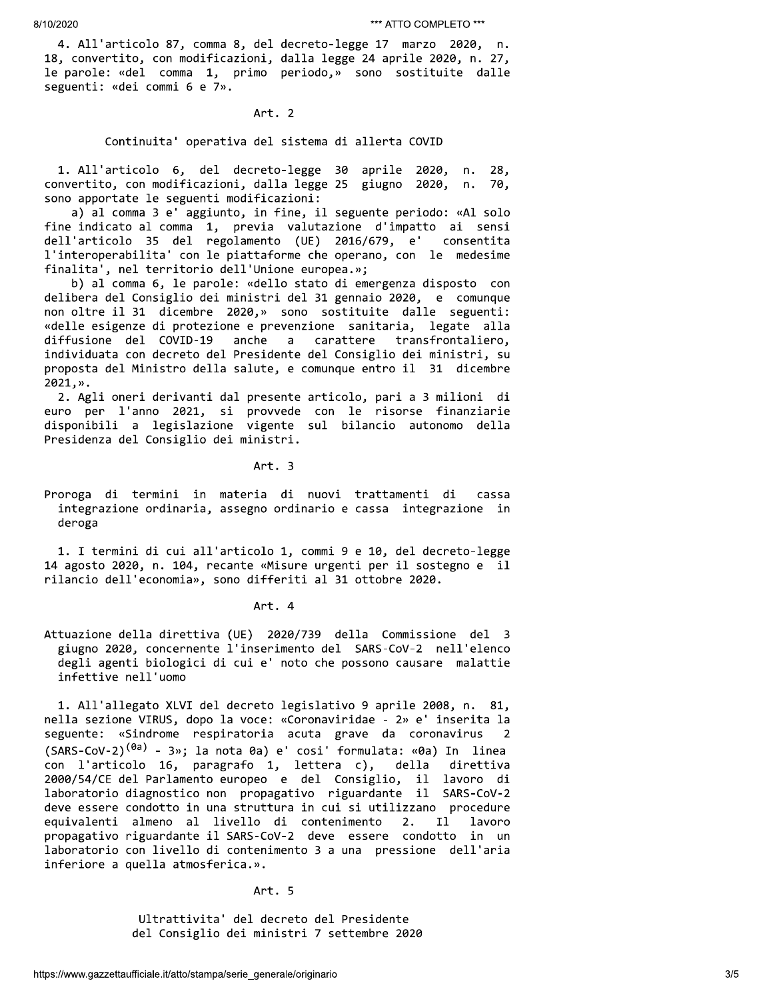4. All'articolo 87, comma 8, del decreto-legge 17 marzo 2020, n. 18, convertito, con modificazioni, dalla legge 24 aprile 2020, n. 27, le parole: «del comma 1, primo periodo,» sono sostituite dalle seguenti: «dei commi 6 e 7».

Art. 2

## Continuita' operativa del sistema di allerta COVID

1. All'articolo 6, del decreto-legge 30 aprile 2020, n. 28, convertito, con modificazioni, dalla legge 25 giugno 2020, n. 70. sono apportate le seguenti modificazioni:

a) al comma 3 e' aggiunto, in fine, il seguente periodo: «Al solo fine indicato al comma 1, previa valutazione d'impatto ai sensi dell'articolo 35 del regolamento (UE) 2016/679, e' consentita l'interoperabilita' con le piattaforme che operano, con le medesime finalita', nel territorio dell'Unione europea.»;

b) al comma 6, le parole: «dello stato di emergenza disposto con delibera del Consiglio dei ministri del 31 gennaio 2020, e comunque non oltre il 31 dicembre 2020,» sono sostituite dalle seguenti: «delle esigenze di protezione e prevenzione sanitaria, legate alla diffusione del COVID-19 anche  $\mathsf{a}$ carattere transfrontaliero, individuata con decreto del Presidente del Consiglio dei ministri, su proposta del Ministro della salute, e comunque entro il 31 dicembre 2021, ».

2. Agli oneri derivanti dal presente articolo, pari a 3 milioni di euro per l'anno 2021, si provvede con le risorse finanziarie disponibili a legislazione vigente sul bilancio autonomo della Presidenza del Consiglio dei ministri.

Art. 3

Proroga di termini in materia di nuovi trattamenti di cassa integrazione ordinaria, assegno ordinario e cassa integrazione in deroga

1. I termini di cui all'articolo 1, commi 9 e 10, del decreto-legge 14 agosto 2020, n. 104, recante «Misure urgenti per il sostegno e il rilancio dell'economia», sono differiti al 31 ottobre 2020.

Art. 4

Attuazione della direttiva (UE) 2020/739 della Commissione del 3 giugno 2020, concernente l'inserimento del SARS-CoV-2 nell'elenco degli agenti biologici di cui e' noto che possono causare malattie infettive nell'uomo

1. All'allegato XLVI del decreto legislativo 9 aprile 2008, n. 81, nella sezione VIRUS, dopo la voce: «Coronaviridae - 2» e' inserita la seguente: «Sindrome respiratoria acuta grave da coronavirus (SARS-CoV-2)<sup>(0a)</sup> - 3»; la nota 0a) e' cosi' formulata: «0a) In linea con l'articolo 16, paragrafo 1, lettera c), della direttiva 2000/54/CE del Parlamento europeo e del Consiglio, il lavoro di laboratorio diagnostico non propagativo riguardante il SARS-CoV-2 deve essere condotto in una struttura in cui si utilizzano procedure  $2.$ equivalenti almeno al livello di contenimento I1 lavoro propagativo riguardante il SARS-CoV-2 deve essere condotto in un laboratorio con livello di contenimento 3 a una pressione dell'aria inferiore a quella atmosferica.».

Art. 5

Ultrattivita' del decreto del Presidente del Consiglio dei ministri 7 settembre 2020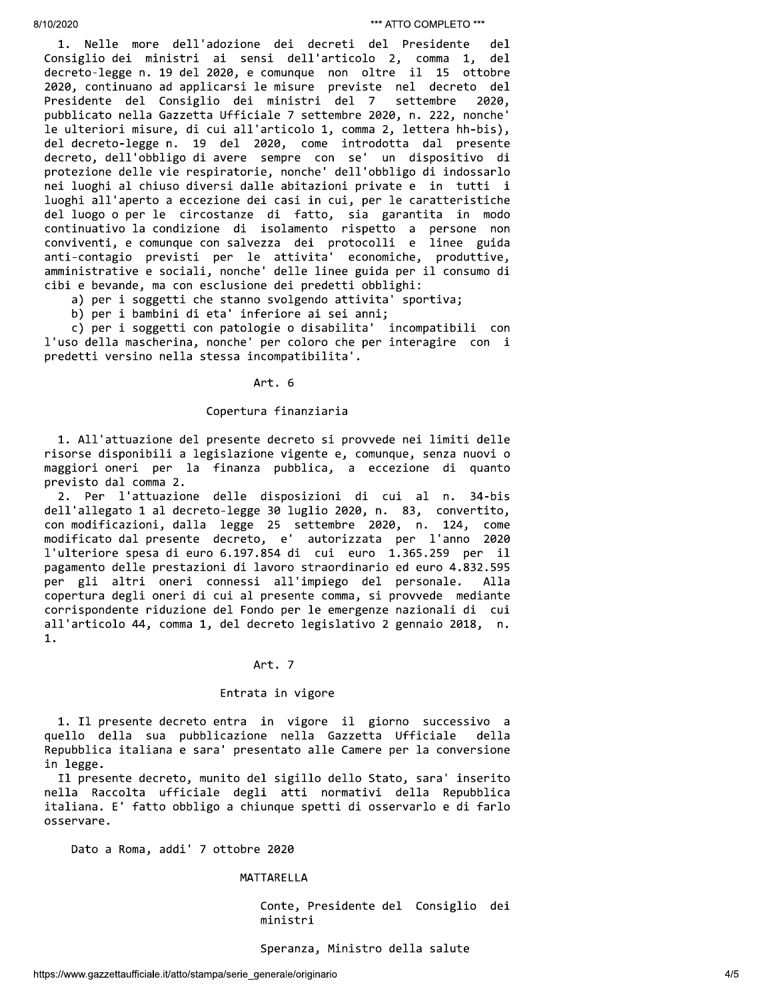1. Nelle more dell'adozione dei decreti del Presidente del Consiglio dei ministri ai sensi dell'articolo 2, comma 1, del decreto-legge n. 19 del 2020, e comunque non oltre il 15 ottobre 2020, continuano ad applicarsi le misure previste nel decreto del Presidente del Consiglio dei ministri del 7 settembre 2020, pubblicato nella Gazzetta Ufficiale 7 settembre 2020, n. 222, nonche' le ulteriori misure, di cui all'articolo 1, comma 2, lettera hh-bis), del decreto-legge n. 19 del 2020, come introdotta dal presente decreto, dell'obbligo di avere sempre con se' un dispositivo di protezione delle vie respiratorie, nonche' dell'obbligo di indossarlo nei luoghi al chiuso diversi dalle abitazioni private e in tutti i luoghi all'aperto a eccezione dei casi in cui, per le caratteristiche del luogo o per le circostanze di fatto, sia garantita in modo continuativo la condizione di isolamento rispetto a persone non conviventi, e comunque con salvezza dei protocolli e linee guida anti-contagio previsti per le attivita' economiche, produttive, amministrative e sociali, nonche' delle linee guida per il consumo di cibi e bevande, ma con esclusione dei predetti obblighi:

a) per i soggetti che stanno svolgendo attivita' sportiva;

b) per i bambini di eta' inferiore ai sei anni;

c) per i soggetti con patologie o disabilita' incompatibili con l'uso della mascherina, nonche' per coloro che per interagire con i predetti versino nella stessa incompatibilita'.

#### Art. 6

### Copertura finanziaria

1. All'attuazione del presente decreto si provvede nei limiti delle risorse disponibili a legislazione vigente e, comunque, senza nuovi o maggiori oneri per la finanza pubblica, a eccezione di quanto previsto dal comma 2.

2. Per l'attuazione delle disposizioni di cui al n. 34-bis dell'allegato 1 al decreto-legge 30 luglio 2020, n. 83, convertito, con modificazioni, dalla legge 25 settembre 2020, n. 124, come modificato dal presente decreto, e' autorizzata per l'anno 2020 l'ulteriore spesa di euro 6.197.854 di cui euro 1.365.259 per il pagamento delle prestazioni di lavoro straordinario ed euro 4.832.595 per gli altri oneri connessi all'impiego del personale. Alla copertura degli oneri di cui al presente comma, si provvede mediante corrispondente riduzione del Fondo per le emergenze nazionali di cui all'articolo 44, comma 1, del decreto legislativo 2 gennaio 2018, n. 1.

# Art. 7

### Entrata in vigore

1. Il presente decreto entra in vigore il giorno successivo a quello della sua pubblicazione nella Gazzetta Ufficiale della Repubblica italiana e sara' presentato alle Camere per la conversione in legge.

Il presente decreto, munito del sigillo dello Stato, sara' inserito nella Raccolta ufficiale degli atti normativi della Repubblica italiana. E' fatto obbligo a chiunque spetti di osservarlo e di farlo osservare.

Dato a Roma, addi' 7 ottobre 2020

### MATTARELLA

Conte, Presidente del Consiglio dei ministri

# Speranza, Ministro della salute